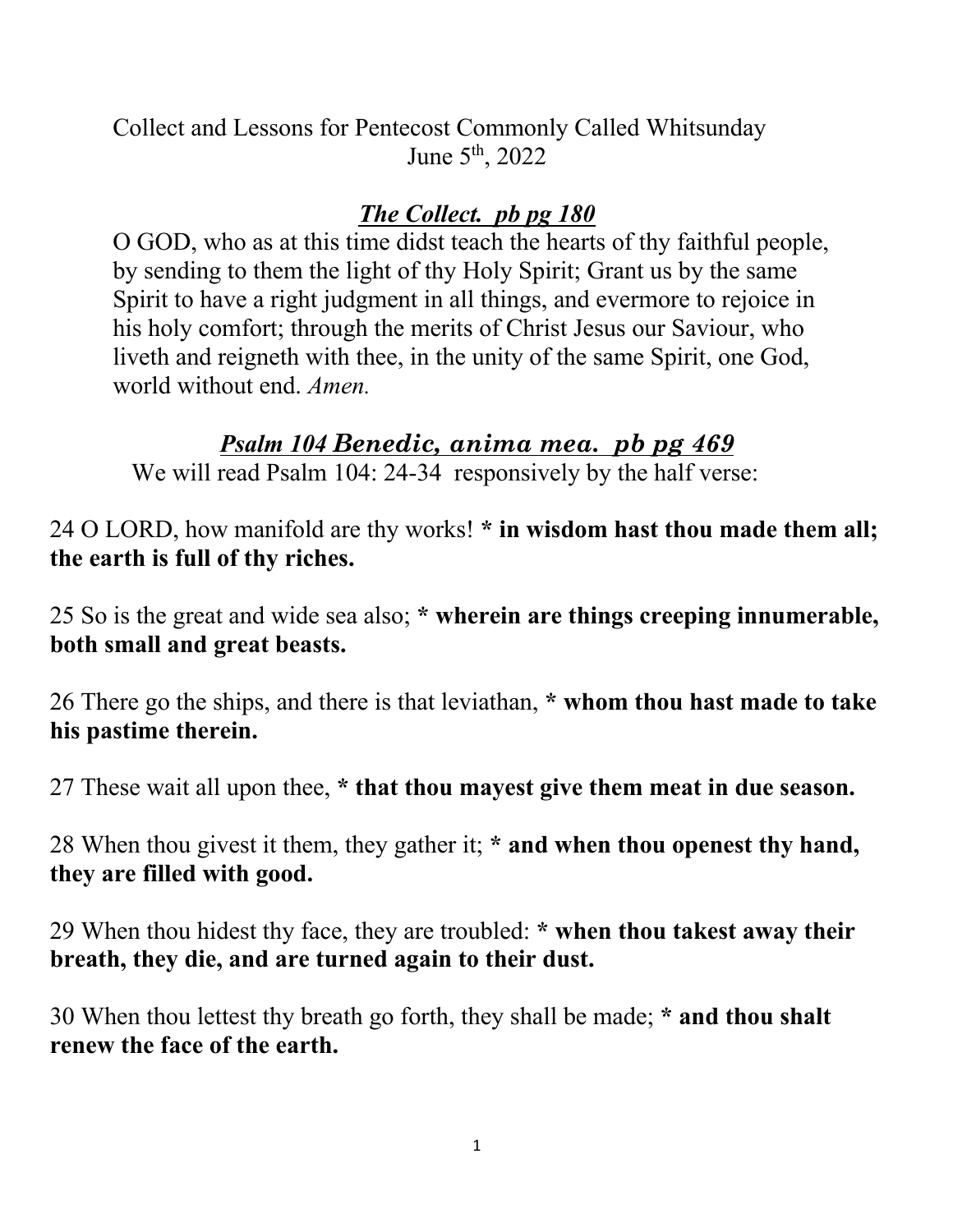Collect and Lessons for Pentecost Commonly Called Whitsunday June  $5^{\text{th}}$ , 2022

## *The Collect. pb pg 180*

O GOD, who as at this time didst teach the hearts of thy faithful people, by sending to them the light of thy Holy Spirit; Grant us by the same Spirit to have a right judgment in all things, and evermore to rejoice in his holy comfort; through the merits of Christ Jesus our Saviour, who liveth and reigneth with thee, in the unity of the same Spirit, one God, world without end. *Amen.*

# *Psalm 104 Benedic, anima mea. pb pg 469*

We will read Psalm 104: 24-34 responsively by the half verse:

24 O LORD, how manifold are thy works! **\* in wisdom hast thou made them all; the earth is full of thy riches.**

25 So is the great and wide sea also; **\* wherein are things creeping innumerable, both small and great beasts.**

26 There go the ships, and there is that leviathan, **\* whom thou hast made to take his pastime therein.**

27 These wait all upon thee, **\* that thou mayest give them meat in due season.**

28 When thou givest it them, they gather it; **\* and when thou openest thy hand, they are filled with good.**

29 When thou hidest thy face, they are troubled: **\* when thou takest away their breath, they die, and are turned again to their dust.**

30 When thou lettest thy breath go forth, they shall be made; **\* and thou shalt renew the face of the earth.**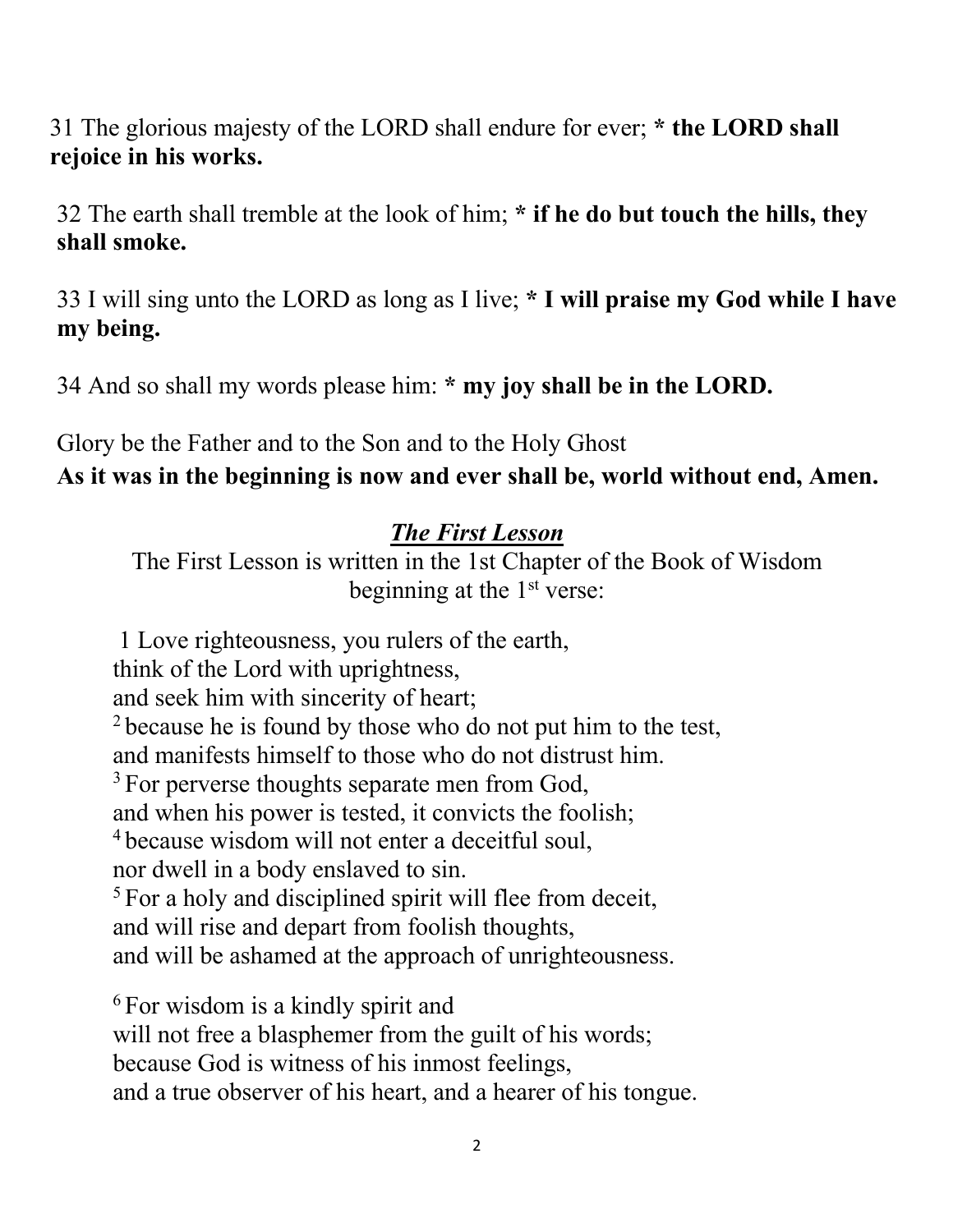31 The glorious majesty of the LORD shall endure for ever; **\* the LORD shall rejoice in his works.** 

32 The earth shall tremble at the look of him; **\* if he do but touch the hills, they shall smoke.**

33 I will sing unto the LORD as long as I live; **\* I will praise my God while I have my being.**

34 And so shall my words please him: **\* my joy shall be in the LORD.**

Glory be the Father and to the Son and to the Holy Ghost **As it was in the beginning is now and ever shall be, world without end, Amen.**

## *The First Lesson*

The First Lesson is written in the 1st Chapter of the Book of Wisdom beginning at the  $1<sup>st</sup>$  verse:

1 Love righteousness, you rulers of the earth, think of the Lord with uprightness, and seek him with sincerity of heart; <sup>2</sup> because he is found by those who do not put him to the test, and manifests himself to those who do not distrust him. <sup>3</sup> For perverse thoughts separate men from God, and when his power is tested, it convicts the foolish; <sup>4</sup> because wisdom will not enter a deceitful soul, nor dwell in a body enslaved to sin. <sup>5</sup> For a holy and disciplined spirit will flee from deceit, and will rise and depart from foolish thoughts, and will be ashamed at the approach of unrighteousness.

<sup>6</sup> For wisdom is a kindly spirit and will not free a blasphemer from the guilt of his words; because God is witness of his inmost feelings, and a true observer of his heart, and a hearer of his tongue.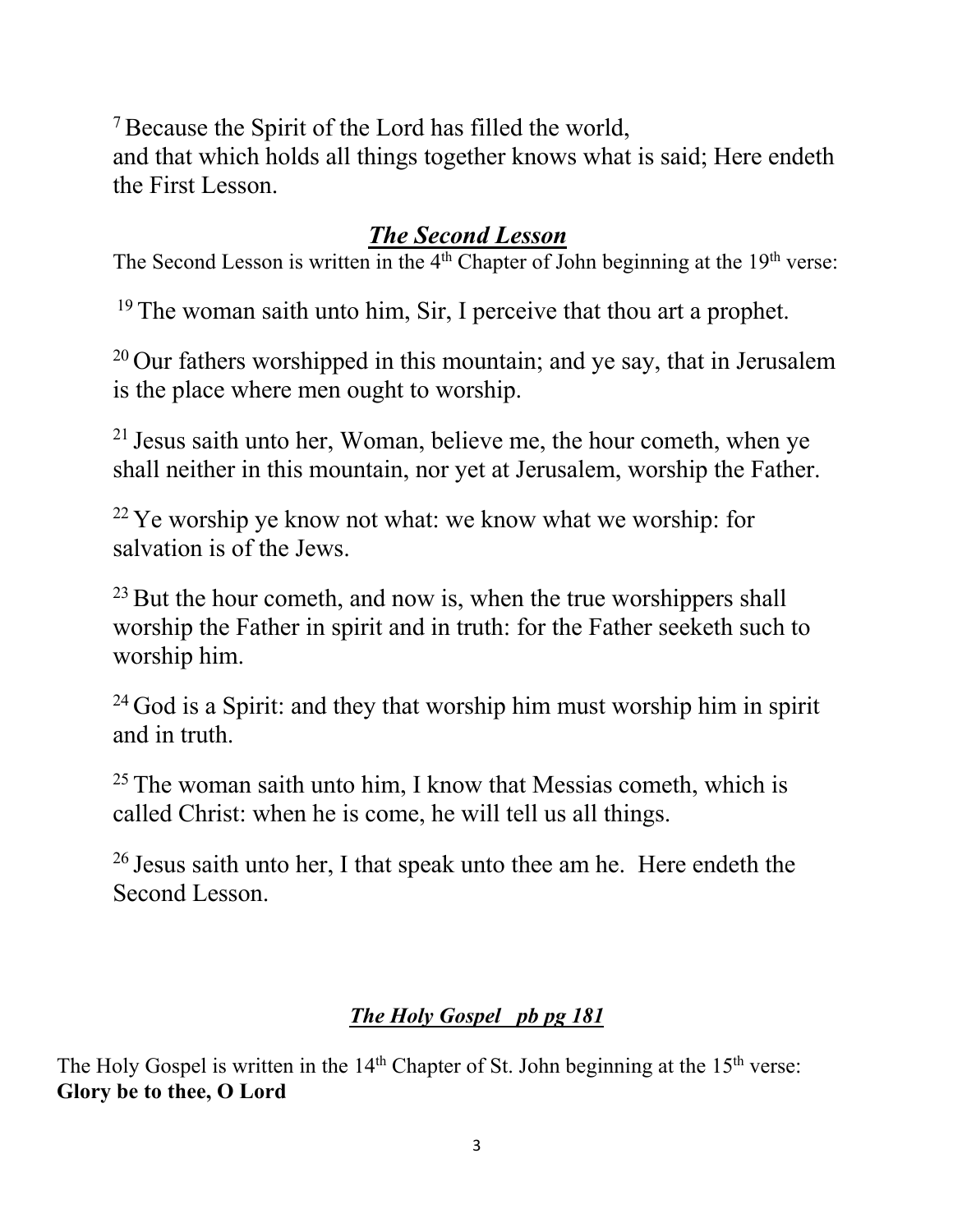7Because the Spirit of the Lord has filled the world, and that which holds all things together knows what is said; Here endeth the First Lesson.

# *The Second Lesson*

The Second Lesson is written in the 4<sup>th</sup> Chapter of John beginning at the 19<sup>th</sup> verse:

<sup>19</sup> The woman saith unto him, Sir, I perceive that thou art a prophet.

 $20$  Our fathers worshipped in this mountain; and ye say, that in Jerusalem is the place where men ought to worship.

<sup>21</sup> Jesus saith unto her, Woman, believe me, the hour cometh, when ye shall neither in this mountain, nor yet at Jerusalem, worship the Father.

<sup>22</sup> Ye worship ye know not what: we know what we worship: for salvation is of the Jews.

 $^{23}$  But the hour cometh, and now is, when the true worshippers shall worship the Father in spirit and in truth: for the Father seeketh such to worship him.

<sup>24</sup> God is a Spirit: and they that worship him must worship him in spirit and in truth.

 $25$  The woman saith unto him, I know that Messias cometh, which is called Christ: when he is come, he will tell us all things.

<sup>26</sup> Jesus saith unto her, I that speak unto thee am he. Here endeth the Second Lesson.

### *The Holy Gospel pb pg 181*

The Holy Gospel is written in the  $14<sup>th</sup>$  Chapter of St. John beginning at the  $15<sup>th</sup>$  verse: **Glory be to thee, O Lord**